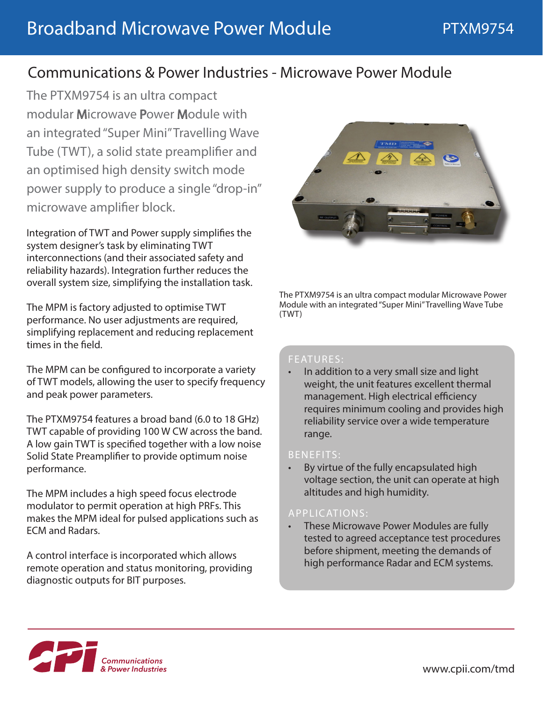# Communications & Power Industries - Microwave Power Module

The PTXM9754 is an ultra compact modular Microwave Power Module with an integrated "Super Mini" Travelling Wave Tube (TWT), a solid state preamplifier and an optimised high density switch mode power supply to produce a single "drop-in" microwave amplifier block.

Integration of TWT and Power supply simplifies the system designer's task by eliminating TWT interconnections (and their associated safety and reliability hazards). Integration further reduces the overall system size, simplifying the installation task.

The MPM is factory adjusted to optimise TWT performance. No user adjustments are required, simplifying replacement and reducing replacement times in the field.

The MPM can be configured to incorporate a variety of TWT models, allowing the user to specify frequency and peak power parameters.

The PTXM9754 features a broad band (6.0 to 18 GHz) TWT capable of providing 100 W CW across the band. A low gain TWT is specified together with a low noise Solid State Preamplifier to provide optimum noise performance.

The MPM includes a high speed focus electrode modulator to permit operation at high PRFs. This makes the MPM ideal for pulsed applications such as ECM and Radars.

A control interface is incorporated which allows remote operation and status monitoring, providing diagnostic outputs for BIT purposes.



The PTXM9754 is an ultra compact modular Microwave Power Module with an integrated "Super Mini" Travelling Wave Tube (TWT)

### FEATURES:

• In addition to a very small size and light weight, the unit features excellent thermal management. High electrical efficiency requires minimum cooling and provides high reliability service over a wide temperature range.

### BENEFITS:

By virtue of the fully encapsulated high voltage section, the unit can operate at high altitudes and high humidity.

### APPLICATIONS:

• These Microwave Power Modules are fully tested to agreed acceptance test procedures before shipment, meeting the demands of high performance Radar and ECM systems.

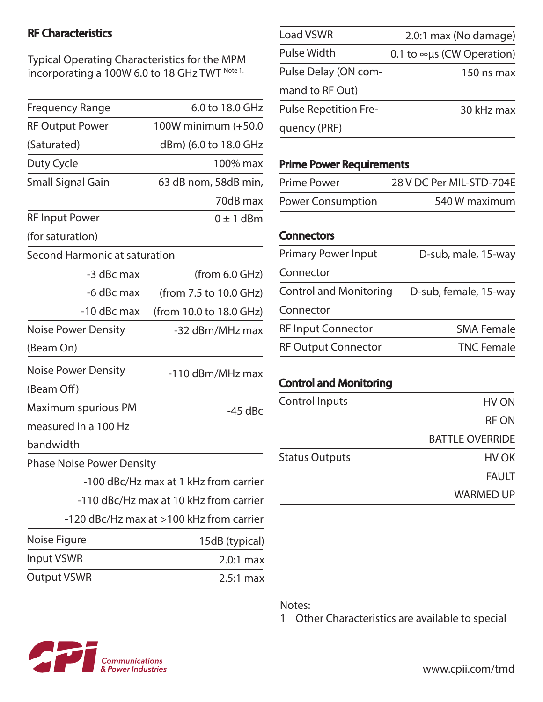# RF Characteristics

Typical Operating Characteristics for the MPM incorporating a 100W 6.0 to 18 GHz TWT Note 1.

| <b>Frequency Range</b>           | 6.0 to 18.0 GHz                          |
|----------------------------------|------------------------------------------|
| <b>RF Output Power</b>           | 100W minimum (+50.0                      |
| (Saturated)                      | dBm) (6.0 to 18.0 GHz                    |
| Duty Cycle                       | 100% max                                 |
| <b>Small Signal Gain</b>         | 63 dB nom, 58dB min,                     |
|                                  | 70dB max                                 |
| <b>RF Input Power</b>            | $0 \pm 1$ dBm                            |
| (for saturation)                 |                                          |
| Second Harmonic at saturation    |                                          |
| -3 dBc max                       | (from 6.0 GHz)                           |
| -6 dBc max                       | (from 7.5 to 10.0 GHz)                   |
| -10 dBc max                      | (from 10.0 to 18.0 GHz)                  |
| <b>Noise Power Density</b>       | -32 dBm/MHz max                          |
| (Beam On)                        |                                          |
| <b>Noise Power Density</b>       | -110 dBm/MHz max                         |
| (Beam Off)                       |                                          |
| Maximum spurious PM              | $-45$ dBc                                |
| measured in a 100 Hz             |                                          |
| bandwidth                        |                                          |
| <b>Phase Noise Power Density</b> |                                          |
|                                  | -100 dBc/Hz max at 1 kHz from carrier    |
|                                  | -110 dBc/Hz max at 10 kHz from carrier   |
|                                  | -120 dBc/Hz max at >100 kHz from carrier |
| Noise Figure                     | 15dB (typical)                           |
| <b>Input VSWR</b>                | $2.0:1$ max                              |
| <b>Output VSWR</b>               | $2.5:1$ max                              |

| <b>Load VSWR</b>             | 2.0:1 max (No damage)             |
|------------------------------|-----------------------------------|
| <b>Pulse Width</b>           | 0.1 to $\infty$ us (CW Operation) |
| Pulse Delay (ON com-         | 150 ns max                        |
| mand to RF Out)              |                                   |
| <b>Pulse Repetition Fre-</b> | 30 kHz max                        |
| quency (PRF)                 |                                   |

# Prime Power Requirements

| <b>Prime Power</b>       | 28 V DC Per MIL-STD-704E |
|--------------------------|--------------------------|
| <b>Power Consumption</b> | 540 W maximum            |

#### **Connectors**

| <b>Primary Power Input</b>    | D-sub, male, 15-way   |
|-------------------------------|-----------------------|
| Connector                     |                       |
| <b>Control and Monitoring</b> | D-sub, female, 15-way |
| Connector                     |                       |
| <b>RF Input Connector</b>     | <b>SMA Female</b>     |
| <b>RF Output Connector</b>    | <b>TNC Female</b>     |

# Control and Monitoring

| <b>Control Inputs</b> | HV ON                  |
|-----------------------|------------------------|
|                       | <b>RF ON</b>           |
|                       | <b>BATTLE OVERRIDE</b> |
| <b>Status Outputs</b> | HV OK                  |
|                       | <b>FAULT</b>           |
|                       | <b>WARMED UP</b>       |

Notes:

1 Other Characteristics are available to special



www.cpii.com/tmd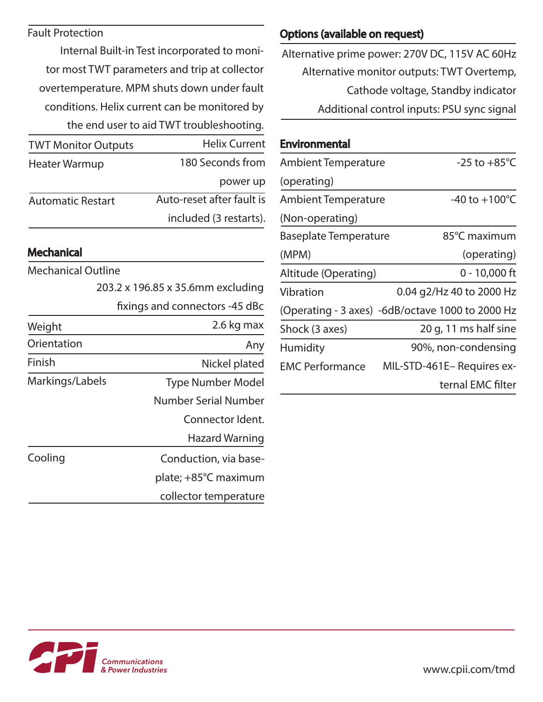## Fault Protection

Internal Built-in Test incorporated to monitor most TWT parameters and trip at collector overtemperature. MPM shuts down under fault conditions. Helix current can be monitored by the end user to aid TWT troubleshooting.

| <b>TWT Monitor Outputs</b> | <b>Helix Current</b>      |
|----------------------------|---------------------------|
| Heater Warmup              | 180 Seconds from          |
|                            | power up                  |
| <b>Automatic Restart</b>   | Auto-reset after fault is |
|                            | included (3 restarts).    |
|                            |                           |

# **Mechanical**

| Mechanical Outline |                                   |
|--------------------|-----------------------------------|
|                    | 203.2 x 196.85 x 35.6mm excluding |
|                    | fixings and connectors -45 dBc    |
| Weight             | 2.6 kg max                        |
| Orientation        | Any                               |
| Finish             | Nickel plated                     |
| Markings/Labels    | <b>Type Number Model</b>          |
|                    | Number Serial Number              |
|                    | Connector Ident.                  |
|                    | <b>Hazard Warning</b>             |
| Cooling            | Conduction, via base-             |
|                    | plate; +85°C maximum              |
|                    | collector temperature             |

# Options (available on request)

Alternative monitor outputs: TWT Overtemp, Cathode voltage, Standby indicator Additional control inputs: PSU sync signal Alternative prime power: 270V DC, 115V AC 60Hz

## Environmental

| <b>Ambient Temperature</b>   | $-25$ to $+85^{\circ}$ C                         |
|------------------------------|--------------------------------------------------|
| (operating)                  |                                                  |
| <b>Ambient Temperature</b>   | -40 to $+100^{\circ}$ C                          |
| (Non-operating)              |                                                  |
| <b>Baseplate Temperature</b> | 85°C maximum                                     |
| (MPM)                        | (operating)                                      |
| Altitude (Operating)         | $0 - 10,000$ ft                                  |
| Vibration                    | 0.04 g2/Hz 40 to 2000 Hz                         |
|                              | (Operating - 3 axes) -6dB/octave 1000 to 2000 Hz |
| Shock (3 axes)               | 20 g, 11 ms half sine                            |
| <b>Humidity</b>              | 90%, non-condensing                              |
| <b>EMC Performance</b>       | MIL-STD-461E- Requires ex-                       |
|                              | ternal EMC filter                                |